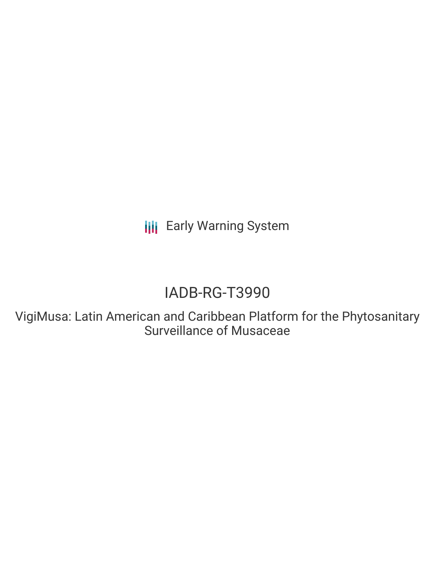**III** Early Warning System

# IADB-RG-T3990

VigiMusa: Latin American and Caribbean Platform for the Phytosanitary Surveillance of Musaceae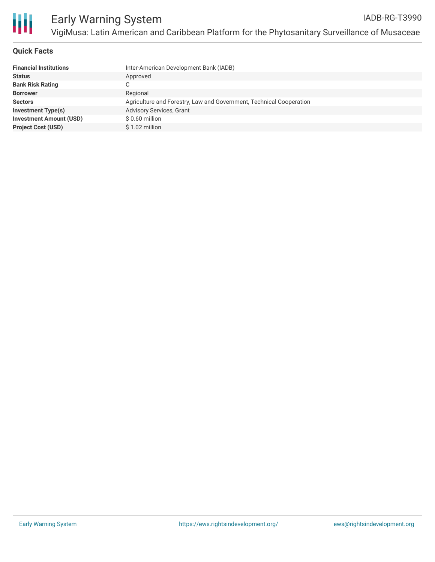

## **Quick Facts**

| <b>Financial Institutions</b>  | Inter-American Development Bank (IADB)                              |
|--------------------------------|---------------------------------------------------------------------|
| <b>Status</b>                  | Approved                                                            |
| <b>Bank Risk Rating</b>        |                                                                     |
| <b>Borrower</b>                | Regional                                                            |
| <b>Sectors</b>                 | Agriculture and Forestry, Law and Government, Technical Cooperation |
| <b>Investment Type(s)</b>      | <b>Advisory Services, Grant</b>                                     |
| <b>Investment Amount (USD)</b> | $$0.60$ million                                                     |
| <b>Project Cost (USD)</b>      | $$1.02$ million                                                     |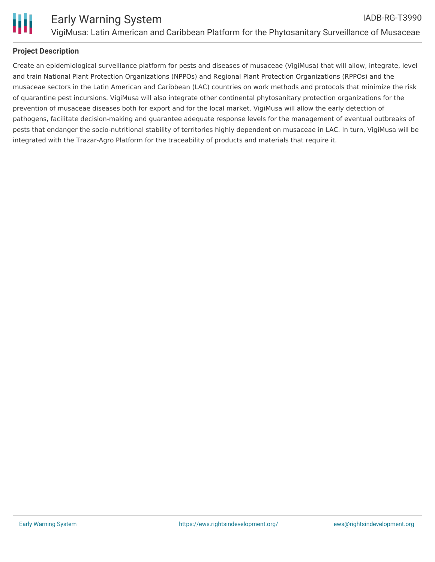

## **Project Description**

Create an epidemiological surveillance platform for pests and diseases of musaceae (VigiMusa) that will allow, integrate, level and train National Plant Protection Organizations (NPPOs) and Regional Plant Protection Organizations (RPPOs) and the musaceae sectors in the Latin American and Caribbean (LAC) countries on work methods and protocols that minimize the risk of quarantine pest incursions. VigiMusa will also integrate other continental phytosanitary protection organizations for the prevention of musaceae diseases both for export and for the local market. VigiMusa will allow the early detection of pathogens, facilitate decision-making and guarantee adequate response levels for the management of eventual outbreaks of pests that endanger the socio-nutritional stability of territories highly dependent on musaceae in LAC. In turn, VigiMusa will be integrated with the Trazar-Agro Platform for the traceability of products and materials that require it.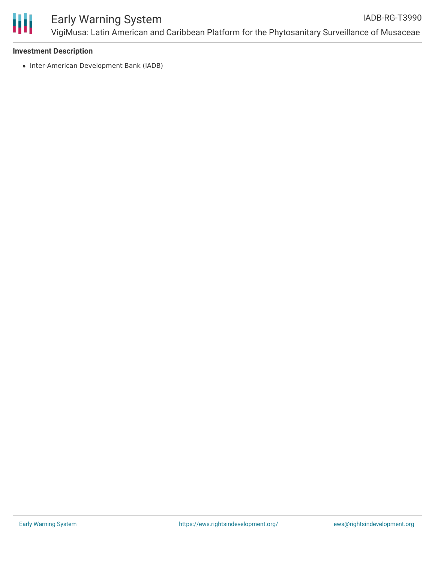

### **Investment Description**

• Inter-American Development Bank (IADB)